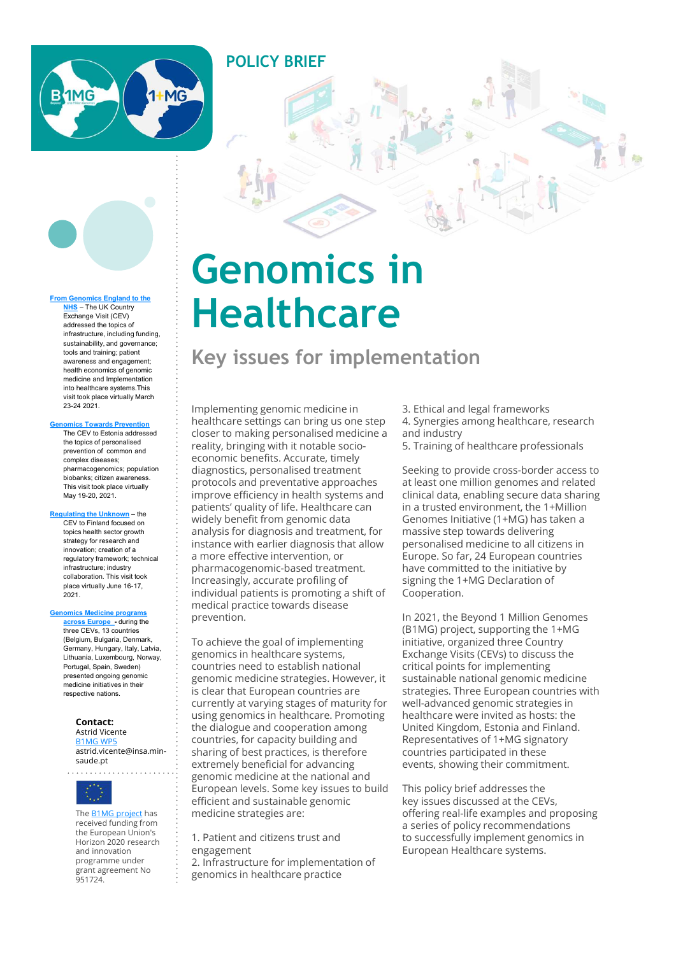

#### From Genomics England to the NHS – The UK Country

Exchange Visit (CEV) addressed the topics of infrastructure, including funding, sustainability, and governance; tools and training; patient awareness and engagement; health economics of genomic medicine and Implementation into healthcare systems.This visit took place virtually March 23-24 2021.

#### Genomics Towards Prevention

The CEV to Estonia addressed the topics of personalised prevention of common and complex diseases; pharmacogenomics; population biobanks; citizen awareness. This visit took place virtually May 19-20, 2021.

#### Regulating the Unknown – the

CEV to Finland focused on topics health sector growth strategy for research and innovation; creation of a regulatory framework; technical infrastructure; industry collaboration. This visit took place virtually June 16-17,  $2021$ 

#### Genomics Medicine programs

across Europe - during the three CEVs, 13 countries (Belgium, Bulgaria, Denmark, Germany, Hungary, Italy, Latvia, Lithuania, Luxembourg, Norway, Portugal, Spain, Sweden) presented ongoing genomic medicine initiatives in their respective nations.

### **Contact:**<br>Astrid Vicente

astrid.vicente@insa.minsaude.pt

. . . . . . . . . . .



received funding from the European Union's Horizon 2020 research and innovation programme under grant agreement No 951724.

# Genomics in **Healthcare**

POLICY BRIEF

### Key issues for implementation

Implementing genomic medicine in healthcare settings can bring us one step closer to making personalised medicine a reality, bringing with it notable socioeconomic benefits. Accurate, timely diagnostics, personalised treatment protocols and preventative approaches improve efficiency in health systems and patients' quality of life. Healthcare can widely benefit from genomic data analysis for diagnosis and treatment, for instance with earlier diagnosis that allow personalised medicine to all citizens in a more effective intervention, or pharmacogenomic-based treatment. Increasingly, accurate profiling of individual patients is promoting a shift of medical practice towards disease prevention.

The **B1MG project has contract in edicine strategies are:** The B1MG project has To achieve the goal of implementing genomics in healthcare systems, countries need to establish national genomic medicine strategies. However, it is clear that European countries are currently at varying stages of maturity for using genomics in healthcare. Promoting **Lontact:** The dialogue and cooperation among United Kingd<br>Astrid Vicente BIMG WP5 The Countries, for capacity building and The Representa sharing of best practices, is therefore extremely beneficial for advancing genomic medicine at the national and European levels. Some key issues to build efficient and sustainable genomic

> 1. Patient and citizens trust and engagement 2. Infrastructure for implementation of genomics in healthcare practice

3. Ethical and legal frameworks 4. Synergies among healthcare, research and industry

5. Training of healthcare professionals

Seeking to provide cross-border access to at least one million genomes and related clinical data, enabling secure data sharing in a trusted environment, the 1+Million Genomes Initiative (1+MG) has taken a massive step towards delivering **Example 12**<br> **Example 12**<br> **Example 2**<br> **Example 2**<br> **Example 12**<br> **Example 12**<br> **Example 12**<br> **Example 12**<br> **Example 12**<br> **Example 12**<br> **Example 12**<br> **Example 12**<br> **Example 12**<br> **Example 14**<br> **Example 2**<br> **Example 2**<br> **E** Europe. So far, 24 European countries have committed to the initiative by signing the 1+MG Declaration of Cooperation.

In 2021, the Beyond 1 Million Genomes (B1MG) project, supporting the 1+MG initiative, organized three Country Exchange Visits (CEVs) to discuss the critical points for implementing sustainable national genomic medicine strategies. Three European countries with well-advanced genomic strategies in healthcare were invited as hosts: the United Kingdom, Estonia and Finland. Representatives of 1+MG signatory countries participated in these events, showing their commitment.

This policy brief addresses the key issues discussed at the CEVs, offering real-life examples and proposing a series of policy recommendations to successfully implement genomics in European Healthcare systems.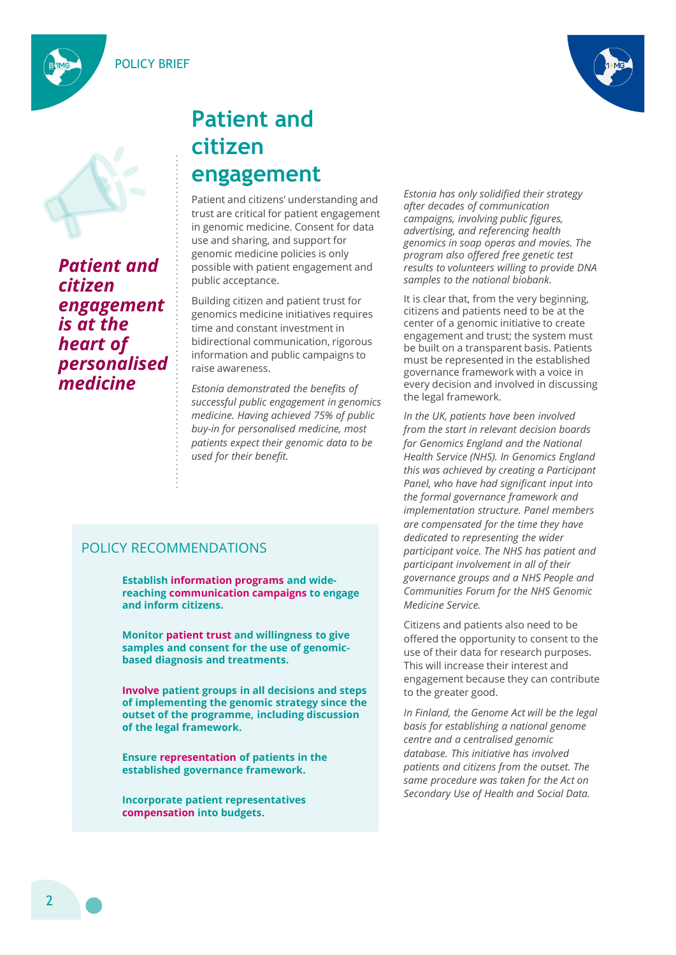POLICY BRIEF





Patient and citizen engagement is at the heart of personalised medicine

# Patient and citizen engagement

Patient and citizens' understanding and trust are critical for patient engagement in genomic medicine. Consent for data use and sharing, and support for genomic medicine policies is only possible with patient engagement and public acceptance.

Building citizen and patient trust for genomics medicine initiatives requires time and constant investment in bidirectional communication, rigorous information and public campaigns to raise awareness.

Estonia demonstrated the benefits of successful public engagement in genomics medicine. Having achieved 75% of public patients expect their genomic data to be used for their benefit.

### POLICY RECOMMENDATIONS

Establish information programs and widereaching communication campaigns to engage and inform citizens.

Monitor patient trust and willingness to give samples and consent for the use of genomicbased diagnosis and treatments.

Involve patient groups in all decisions and steps of implementing the genomic strategy since the outset of the programme, including discussion of the legal framework.

Ensure representation of patients in the established governance framework.

Incorporate patient representatives compensation into budgets.

Estonia has only solidified their strategy after decades of communication campaigns, involving public figures, advertising, and referencing health genomics in soap operas and movies. The program also offered free genetic test results to volunteers willing to provide DNA samples to the national biobank.

**CILIZEN**<br> **CILIZEN**<br> **CALIZEN EXECUTE THE STORIC AND AND AND THE PERIMENT PATE PROPROBLY THE PATE AND AND AND THE STORIC AND AND MONETATIONS (THE AND MONETATION CONDUCTS THE SUPPOSE THE SUPPOSE THE SUPPOSE THE SUPPOSE THE** It is clear that, from the very beginning, citizens and patients need to be at the center of a genomic initiative to create engagement and trust; the system must be built on a transparent basis. Patients must be represented in the established governance framework with a voice in every decision and involved in discussing the legal framework.

In the UK, patients have been involved from the start in relevant decision boards for Genomics England and the National Health Service (NHS). In Genomics England this was achieved by creating a Participant Panel, who have had significant input into the formal governance framework and implementation structure. Panel members are compensated for the time they have dedicated to representing the wider participant voice. The NHS has patient and participant involvement in all of their governance groups and a NHS People and Communities Forum for the NHS Genomic Medicine Service. Health Service (NHS). In Genomics England<br>this was chieved by creating a Participant<br>Panel, who have had significant input into<br>the formal governance framework and<br>implementation structure. Panel members<br>are compensated fo

Citizens and patients also need to be offered the opportunity to consent to the use of their data for research purposes. This will increase their interest and engagement because they can contribute to the greater good.

In Finland, the Genome Act will be the legal basis for establishing a national genome database. This initiative has involved patients and citizens from the outset. The same procedure was taken for the Act on Secondary Use of Health and Social Data.

2 a contra de la contra de la contra de la contra de la contra de la contra de la contra de la contra de la co<br>2 de decembre de la contra de la contra de la contra de la contra de la contra de la contra de la contra de la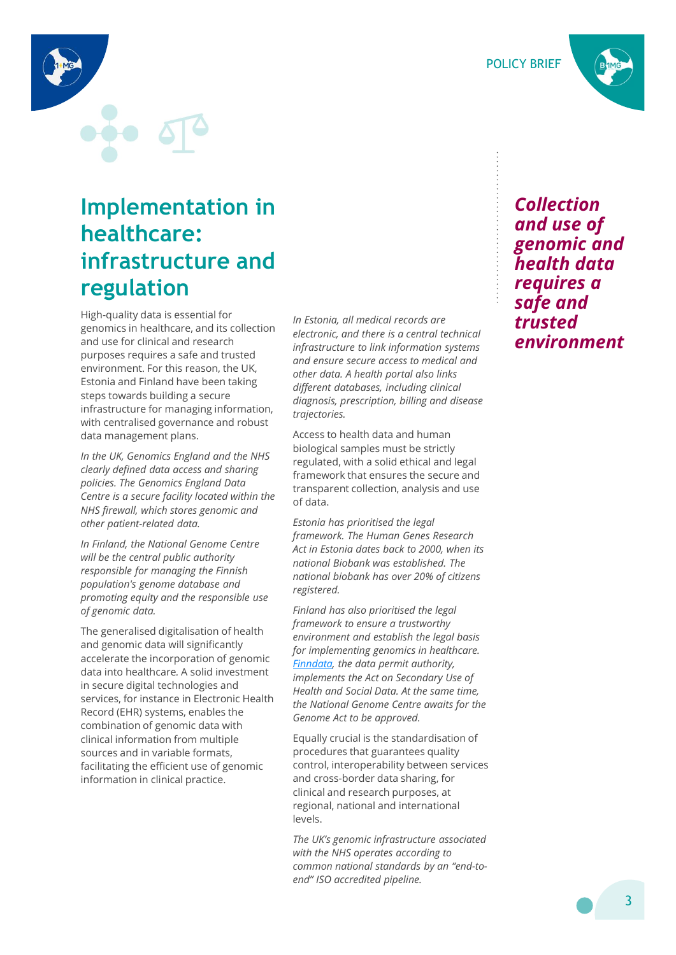Collection and use of genomic and health data requires a safe and trusted environment

POLICY BRIEF

# Implementation in healthcare: infrastructure and regulation

High-quality data is essential for genomics in healthcare, and its collection and use for clinical and research purposes requires a safe and trusted environment. For this reason, the UK, Estonia and Finland have been taking steps towards building a secure infrastructure for managing information, **Implementation in**<br> **healthcare:**<br> **infrastructure and**<br> **regulation**<br> **regulation**<br> **regulation**<br> **regulation**<br> **regulation**<br> **regulation**<br> **regulation**<br> **regulation**<br> **regulation**<br> **regulation**<br> **regulation**<br> **regulati** data management plans.

In the UK, Genomics England and the NHS clearly defined data access and sharing policies. The Genomics England Data Centre is a secure facility located within the NHS firewall, which stores genomic and other patient-related data.

In Finland, the National Genome Centre will be the central public authority responsible for managing the Finnish population's genome database and promoting equity and the responsible use of genomic data.

and genomic data will significantly accelerate the incorporation of genomic data into healthcare. A solid investment in secure digital technologies and services, for instance in Electronic Health Record (EHR) systems, enables the combination of genomic data with clinical information from multiple sources and in variable formats, facilitating the efficient use of genomic information in clinical practice.

In Estonia, all medical records are electronic, and there is a central technical infrastructure to link information systems and ensure secure access to medical and other data. A health portal also links different databases, including clinical diagnosis, prescription, billing and disease trajectories.

Access to health data and human biological samples must be strictly regulated, with a solid ethical and legal framework that ensures the secure and transparent collection, analysis and use of data.

Estonia has prioritised the legal framework. The Human Genes Research Act in Estonia dates back to 2000, when its national Biobank was established. The national biobank has over 20% of citizens registered.

The methanon interaction of the lightractic term in hydromic in spectrum of the season, the UK in equality and Fistonia and Fistnam different for the UK in other data. A health portal das links<br>
Estimalism a Fistnam differ Finland has also prioritised the legal framework to ensure a trustworthy environment and establish the legal basis for implementing genomics in healthcare. Finndata, the data permit authority, implements the Act on Secondary Use of Health and Social Data. At the same time, the National Genome Centre awaits for the Genome Act to be approved.

> Equally crucial is the standardisation of procedures that guarantees quality control, interoperability between services and cross-border data sharing, for clinical and research purposes, at regional, national and international levels.

> The UK's genomic infrastructure associated with the NHS operates according to common national standards by an "end-toend" ISO accredited pipeline.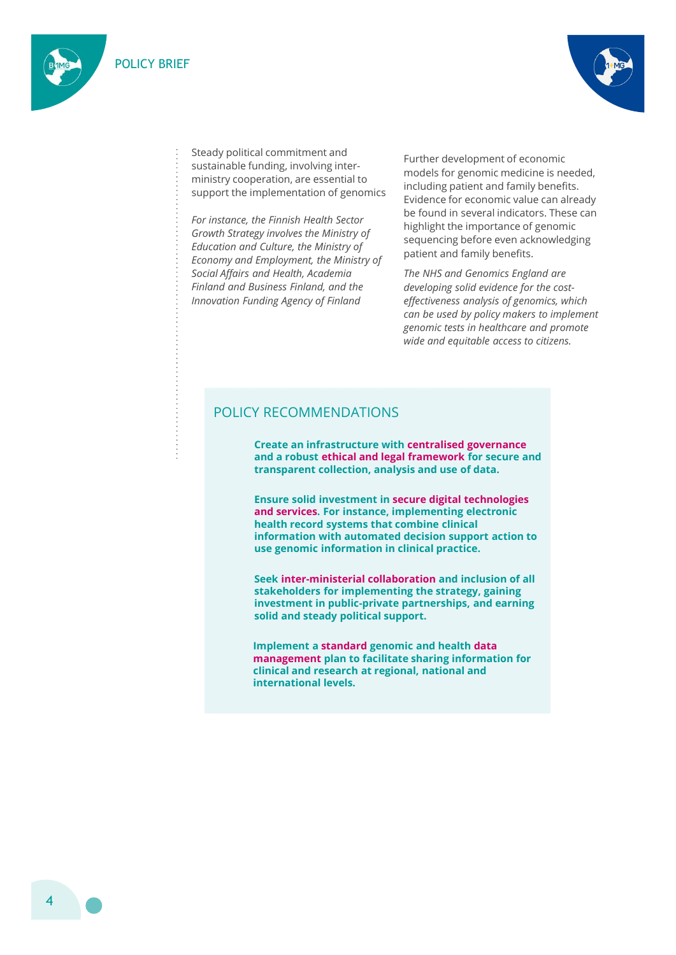



Steady political commitment and sustainable funding, involving interministry cooperation, are essential to support the implementation of genomics

For instance, the Finnish Health Sector Growth Strategy involves the Ministry of Education and Culture, the Ministry of Economy and Employment, the Ministry of Social Affairs and Health, Academia Finland and Business Finland, and the

Further development of economic models for genomic medicine is needed, including patient and family benefits. Evidence for economic value can already be found in several indicators. These can highlight the importance of genomic sequencing before even acknowledging patient and family benefits. unding, involving inter-<br>
Further development of economic<br>
models for genomic medicine is needed,<br>
emplementation of genomics<br>
including patient and family benefits.<br>
Further Emish Health Sector<br>
Further discussions the fo

Innovation Funding Agency of Finland effectiveness analysis of genomics, which The NHS and Genomics England are developing solid evidence for the costcan be used by policy makers to implement genomic tests in healthcare and promote wide and equitable access to citizens.

### POLICY RECOMMENDATIONS

and a robust ethical and legal framework for secure and transparent collection, analysis and use of data.

Ensure solid investment in secure digital technologies and services. For instance, implementing electronic health record systems that combine clinical information with automated decision support action to use genomic information in clinical practice.

Seek inter-ministerial collaboration and inclusion of all stakeholders for implementing the strategy, gaining investment in public-private partnerships, and earning solid and steady political support.

Implement a standard genomic and health data management plan to facilitate sharing information for clinical and research at regional, national and international levels.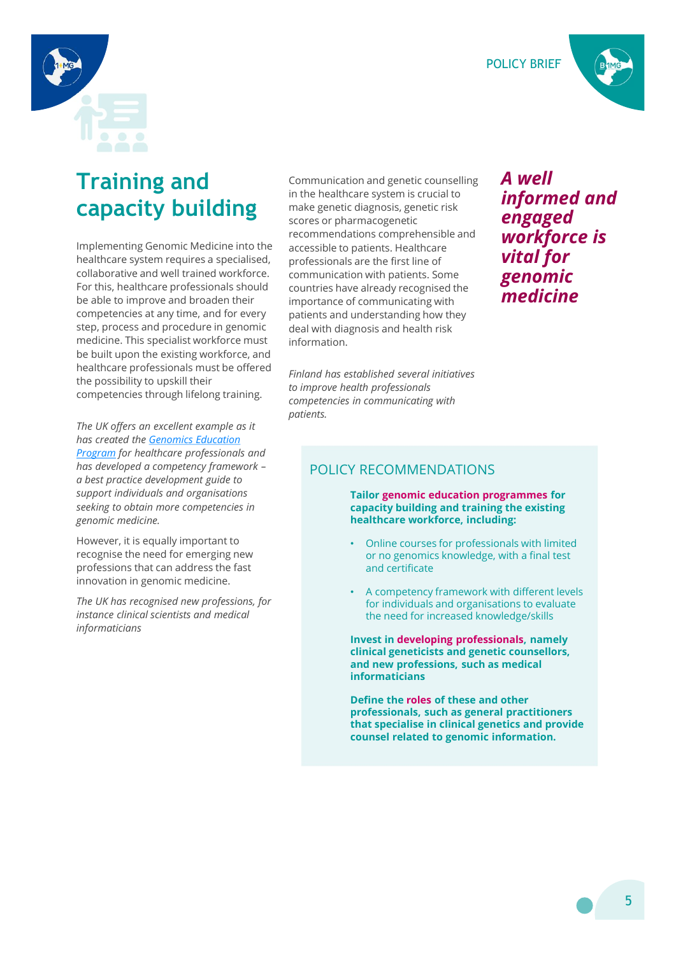POLICY BRIEF





# Training and capacity building

Implementing Genomic Medicine into the healthcare system requires a specialised, collaborative and well trained workforce. For this, healthcare professionals should be able to improve and broaden their competencies at any time, and for every step, process and procedure in genomic medicine. This specialist workforce must be built upon the existing workforce, and healthcare professionals must be offered the possibility to upskill their competencies through lifelong training. Collaborative and well trained workforce.<br>
For this, healthcare professionals should countries have already recognised the<br>
For exhibit competencies at any time, and for every<br>
time bracker in prortance of communicating wi

The UK offers an excellent example as it has created the Genomics Education **Program** for healthcare professionals and has developed a competency framework – a best practice development guide to support individuals and organisations seeking to obtain more competencies in genomic medicine. Compensions and informations and the statistic metric and the endicate the process and procedure in genomic deal with diagnosis and health risk<br>
method in the solidity to upskill their professionals must be offered<br>
be bui

However, it is equally important to professions that can address the fast innovation in genomic medicine.

instance clinical scientists and medical informaticians

Communication and genetic counselling in the healthcare system is crucial to make genetic diagnosis, genetic risk scores or pharmacogenetic recommendations comprehensible and accessible to patients. Healthcare professionals are the first line of communication with patients. Some countries have already recognised the importance of communicating with patients and understanding how they deal with diagnosis and health risk information.

Finland has established several initiatives to improve health professionals competencies in communicating with patients.

### A well informed and engaged workforce is vital for genomic medicine

### POLICY RECOMMENDATIONS

Tailor genomic education programmes for capacity building and training the existing healthcare workforce, including:

- Online courses for professionals with limited or no genomics knowledge, with a final test and certificate
- A competency framework with different levels for individuals and organisations to evaluate the need for increased knowledge/skills

Invest in developing professionals, namely clinical geneticists and genetic counsellors, and new professions, such as medical informaticians

Define the roles of these and other professionals, such as general practitioners that specialise in clinical genetics and provide counsel related to genomic information.